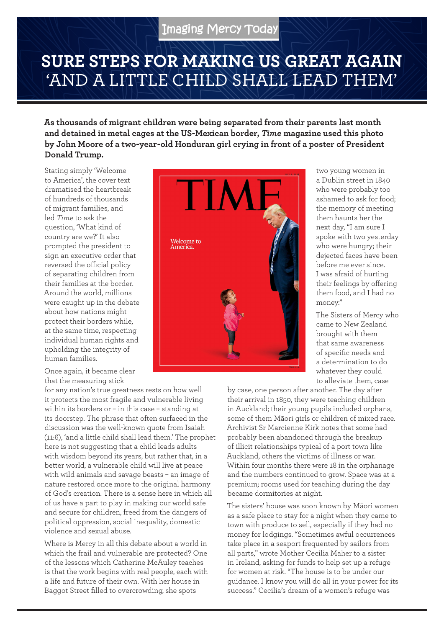## **SURE STEPS FOR MAKING US GREAT AGAIN** 'AND A LITTLE CHILD SHALL LEAD THEM'

**As thousands of migrant children were being separated from their parents last month and detained in metal cages at the US-Mexican border,** *Time* **magazine used this photo by John Moore of a two-year-old Honduran girl crying in front of a poster of President Donald Trump.**

Stating simply 'Welcome to America', the cover text dramatised the heartbreak of hundreds of thousands of migrant families, and led *Time* to ask the question, 'What kind of country are we?' It also prompted the president to sign an executive order that reversed the official policy of separating children from their families at the border. Around the world, millions were caught up in the debate about how nations might protect their borders while, at the same time, respecting individual human rights and upholding the integrity of human families.

Once again, it became clear that the measuring stick

for any nation's true greatness rests on how well it protects the most fragile and vulnerable living within its borders or – in this case – standing at its doorstep. The phrase that often surfaced in the discussion was the well-known quote from Isaiah (11:6), 'and a little child shall lead them.' The prophet here is not suggesting that a child leads adults with wisdom beyond its years, but rather that, in a better world, a vulnerable child will live at peace with wild animals and savage beasts – an image of nature restored once more to the original harmony of God's creation. There is a sense here in which all of us have a part to play in making our world safe and secure for children, freed from the dangers of political oppression, social inequality, domestic violence and sexual abuse.

Where is Mercy in all this debate about a world in which the frail and vulnerable are protected? One of the lessons which Catherine McAuley teaches is that the work begins with real people, each with a life and future of their own. With her house in Baggot Street filled to overcrowding, she spots



two young women in a Dublin street in 1840 who were probably too ashamed to ask for food; the memory of meeting them haunts her the next day, "I am sure I spoke with two yesterday who were hungry; their dejected faces have been before me ever since. I was afraid of hurting their feelings by offering them food, and I had no money."

The Sisters of Mercy who came to New Zealand brought with them that same awareness of specific needs and a determination to do whatever they could to alleviate them, case

by case, one person after another. The day after their arrival in 1850, they were teaching children in Auckland; their young pupils included orphans, some of them Māori girls or children of mixed race. Archivist Sr Marcienne Kirk notes that some had probably been abandoned through the breakup of illicit relationships typical of a port town like Auckland, others the victims of illness or war. Within four months there were 18 in the orphanage and the numbers continued to grow. Space was at a premium; rooms used for teaching during the day became dormitories at night.

The sisters' house was soon known by Māori women as a safe place to stay for a night when they came to town with produce to sell, especially if they had no money for lodgings. "Sometimes awful occurrences take place in a seaport frequented by sailors from all parts," wrote Mother Cecilia Maher to a sister in Ireland, asking for funds to help set up a refuge for women at risk. "The house is to be under our guidance. I know you will do all in your power for its success." Cecilia's dream of a women's refuge was